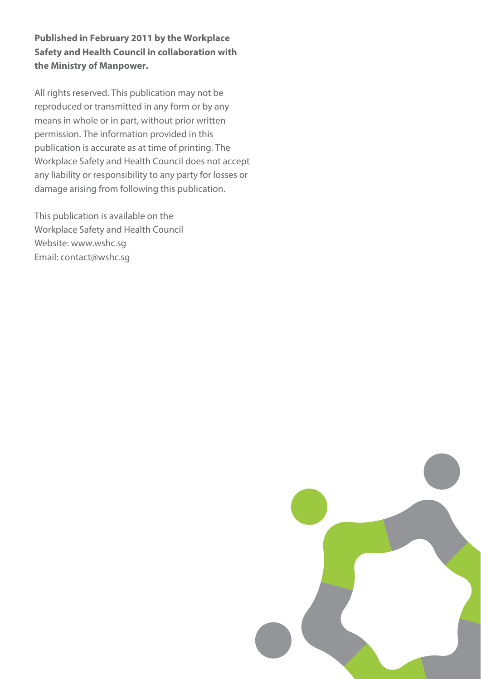**Published in February 2011 by the Workplace Safety and Health Council in collaboration with the Ministry of Manpower.** 

All rights reserved. This publication may not be reproduced or transmitted in any form or by any means in whole or in part, without prior written permission. The information provided in this publication is accurate as at time of printing. The Workplace Safety and Health Council does not accept any liability or responsibility to any party for losses or damage arising from following this publication.

This publication is available on the Workplace Safety and Health Council Website: www.wshc.sg Email: contact@wshc.sg

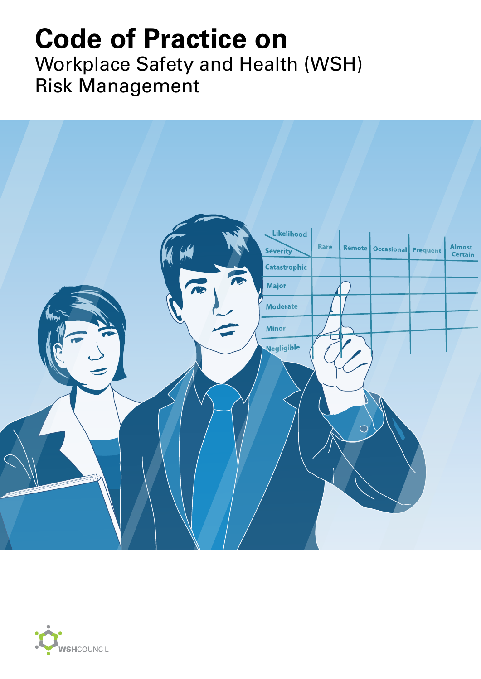## Workplace Safety and Health (WSH) Risk Management **Code of Practice on**



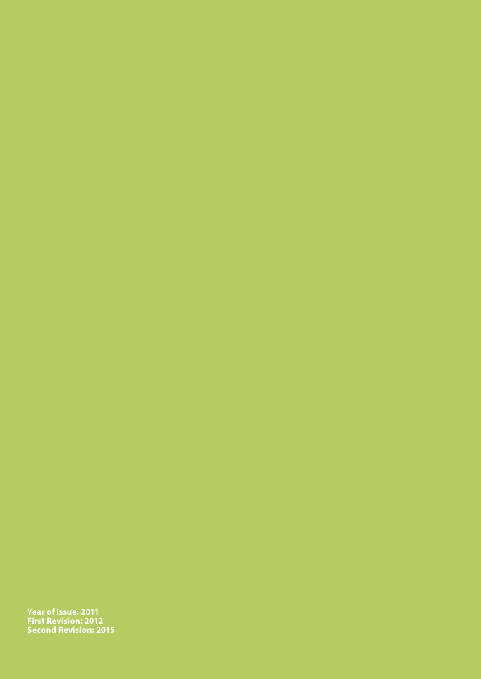**Year of issue: 2011 First Revision: 2012 Second Revision: 2015**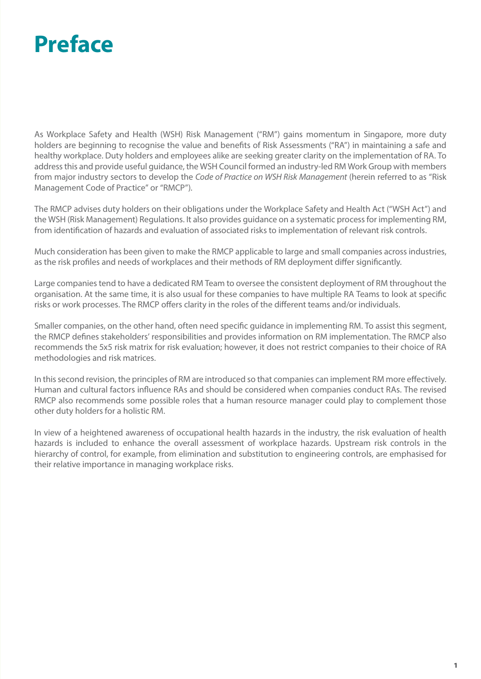## **Preface**

As Workplace Safety and Health (WSH) Risk Management ("RM") gains momentum in Singapore, more duty holders are beginning to recognise the value and benefits of Risk Assessments ("RA") in maintaining a safe and healthy workplace. Duty holders and employees alike are seeking greater clarity on the implementation of RA. To address this and provide useful guidance, the WSH Council formed an industry-led RM Work Group with members from major industry sectors to develop the *Code of Practice on WSH Risk Management* (herein referred to as "Risk Management Code of Practice" or "RMCP").

The RMCP advises duty holders on their obligations under the Workplace Safety and Health Act ("WSH Act") and the WSH (Risk Management) Regulations. It also provides guidance on a systematic process for implementing RM, from identification of hazards and evaluation of associated risks to implementation of relevant risk controls.

Much consideration has been given to make the RMCP applicable to large and small companies across industries, as the risk profiles and needs of workplaces and their methods of RM deployment differ significantly.

Large companies tend to have a dedicated RM Team to oversee the consistent deployment of RM throughout the organisation. At the same time, it is also usual for these companies to have multiple RA Teams to look at specific risks or work processes. The RMCP offers clarity in the roles of the different teams and/or individuals.

Smaller companies, on the other hand, often need specific guidance in implementing RM. To assist this segment, the RMCP defines stakeholders' responsibilities and provides information on RM implementation. The RMCP also recommends the 5x5 risk matrix for risk evaluation; however, it does not restrict companies to their choice of RA methodologies and risk matrices.

In this second revision, the principles of RM are introduced so that companies can implement RM more effectively. Human and cultural factors influence RAs and should be considered when companies conduct RAs. The revised RMCP also recommends some possible roles that a human resource manager could play to complement those other duty holders for a holistic RM.

In view of a heightened awareness of occupational health hazards in the industry, the risk evaluation of health hazards is included to enhance the overall assessment of workplace hazards. Upstream risk controls in the hierarchy of control, for example, from elimination and substitution to engineering controls, are emphasised for their relative importance in managing workplace risks.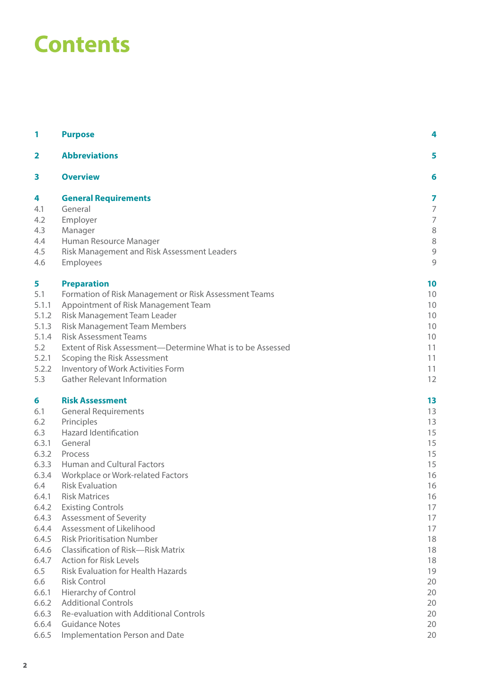## **Contents**

| 1                       | <b>Purpose</b>                                                        | 4                  |
|-------------------------|-----------------------------------------------------------------------|--------------------|
| $\overline{\mathbf{2}}$ | <b>Abbreviations</b>                                                  | 5                  |
| 3                       | <b>Overview</b>                                                       | 6                  |
| 4                       | <b>General Requirements</b>                                           | 7                  |
| 4.1                     | General                                                               | $\overline{ }$     |
| 4.2                     | Employer                                                              | $\overline{7}$     |
| 4.3                     | Manager                                                               | 8                  |
| 4.4<br>4.5              | Human Resource Manager<br>Risk Management and Risk Assessment Leaders | 8<br>$\mathcal{G}$ |
| 4.6                     | Employees                                                             | 9                  |
|                         |                                                                       |                    |
| 5                       | <b>Preparation</b>                                                    | 10                 |
| 5.1                     | Formation of Risk Management or Risk Assessment Teams                 | 10                 |
| 5.1.1                   | Appointment of Risk Management Team                                   | 10                 |
| 5.1.2<br>5.1.3          | Risk Management Team Leader<br><b>Risk Management Team Members</b>    | 10<br>10           |
| 5.1.4                   | <b>Risk Assessment Teams</b>                                          | 10                 |
| 5.2                     | Extent of Risk Assessment-Determine What is to be Assessed            | 11                 |
| 5.2.1                   | Scoping the Risk Assessment                                           | 11                 |
| 5.2.2                   | Inventory of Work Activities Form                                     | 11                 |
| 5.3                     | <b>Gather Relevant Information</b>                                    | 12                 |
| 6                       | <b>Risk Assessment</b>                                                | 13                 |
| 6.1                     | <b>General Requirements</b>                                           | 13                 |
| 6.2                     | Principles                                                            | 13                 |
| 6.3                     | <b>Hazard Identification</b>                                          | 15                 |
| 6.3.1                   | General                                                               | 15                 |
| 6.3.2                   | Process                                                               | 15                 |
| 6.3.3                   | <b>Human and Cultural Factors</b>                                     | 15                 |
| 6.3.4                   | Workplace or Work-related Factors                                     | 16                 |
| 6.4<br>6.4.1            | <b>Risk Evaluation</b><br><b>Risk Matrices</b>                        | 16                 |
| 6.4.2                   | <b>Existing Controls</b>                                              | 16<br>17           |
| 6.4.3                   | <b>Assessment of Severity</b>                                         | 17                 |
| 6.4.4                   | Assessment of Likelihood                                              | 17                 |
| 6.4.5                   | <b>Risk Prioritisation Number</b>                                     | 18                 |
| 6.4.6                   | Classification of Risk-Risk Matrix                                    | 18                 |
| 6.4.7                   | <b>Action for Risk Levels</b>                                         | 18                 |
| 6.5                     | <b>Risk Evaluation for Health Hazards</b>                             | 19                 |
| 6.6                     | <b>Risk Control</b>                                                   | 20                 |
| 6.6.1                   | <b>Hierarchy of Control</b>                                           | 20                 |
| 6.6.2                   | <b>Additional Controls</b>                                            | 20                 |
| 6.6.3                   | Re-evaluation with Additional Controls                                | 20                 |
| 6.6.4                   | <b>Guidance Notes</b>                                                 | 20                 |
| 6.6.5                   | Implementation Person and Date                                        | 20                 |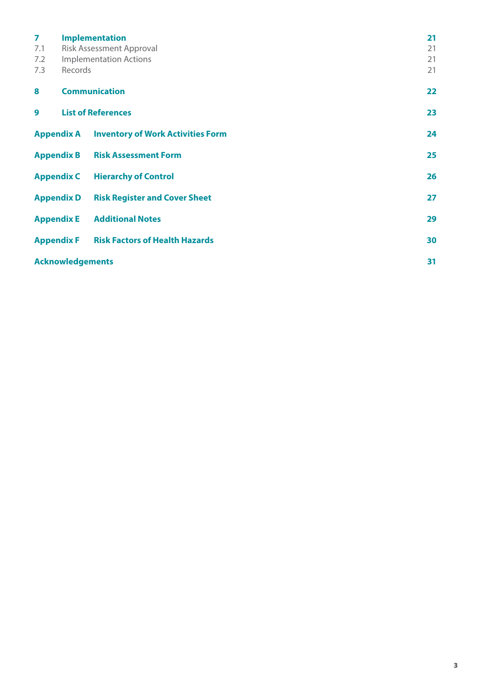| $\overline{\mathbf{z}}$ |                         | <b>Implementation</b>                               | 21 |
|-------------------------|-------------------------|-----------------------------------------------------|----|
| 7.1                     |                         | <b>Risk Assessment Approval</b>                     | 21 |
| 7.2                     |                         | <b>Implementation Actions</b>                       | 21 |
| 7.3                     | Records                 |                                                     | 21 |
| 8                       |                         | <b>Communication</b>                                | 22 |
| 9                       |                         | <b>List of References</b>                           | 23 |
|                         |                         | <b>Appendix A Inventory of Work Activities Form</b> | 24 |
|                         |                         | <b>Appendix B Risk Assessment Form</b>              | 25 |
|                         |                         | <b>Appendix C</b> Hierarchy of Control              | 26 |
|                         | <b>Appendix D</b>       | <b>Risk Register and Cover Sheet</b>                | 27 |
|                         |                         | <b>Appendix E</b> Additional Notes                  | 29 |
|                         | <b>Appendix F</b>       | <b>Risk Factors of Health Hazards</b>               | 30 |
|                         | <b>Acknowledgements</b> |                                                     | 31 |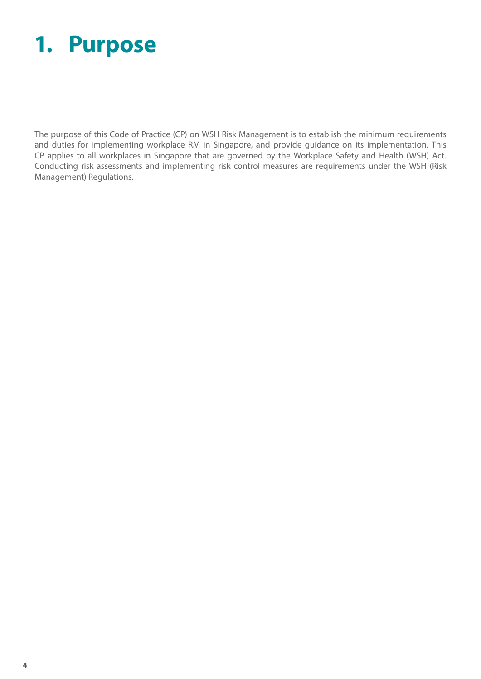## **1. Purpose**

The purpose of this Code of Practice (CP) on WSH Risk Management is to establish the minimum requirements and duties for implementing workplace RM in Singapore, and provide guidance on its implementation. This CP applies to all workplaces in Singapore that are governed by the Workplace Safety and Health (WSH) Act. Conducting risk assessments and implementing risk control measures are requirements under the WSH (Risk Management) Regulations.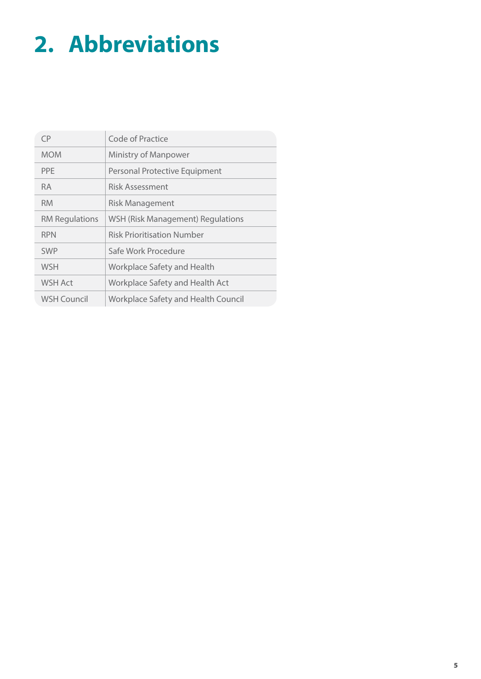# **2. Abbreviations**

| CP.                   | Code of Practice                           |
|-----------------------|--------------------------------------------|
| <b>MOM</b>            | Ministry of Manpower                       |
| <b>PPE</b>            | Personal Protective Equipment              |
| RA.                   | Risk Assessment                            |
| <b>RM</b>             | <b>Risk Management</b>                     |
| <b>RM Regulations</b> | WSH (Risk Management) Regulations          |
| <b>RPN</b>            | <b>Risk Prioritisation Number</b>          |
| <b>SWP</b>            | Safe Work Procedure                        |
| <b>WSH</b>            | Workplace Safety and Health                |
| <b>WSH Act</b>        | Workplace Safety and Health Act            |
| WSH Council           | <b>Workplace Safety and Health Council</b> |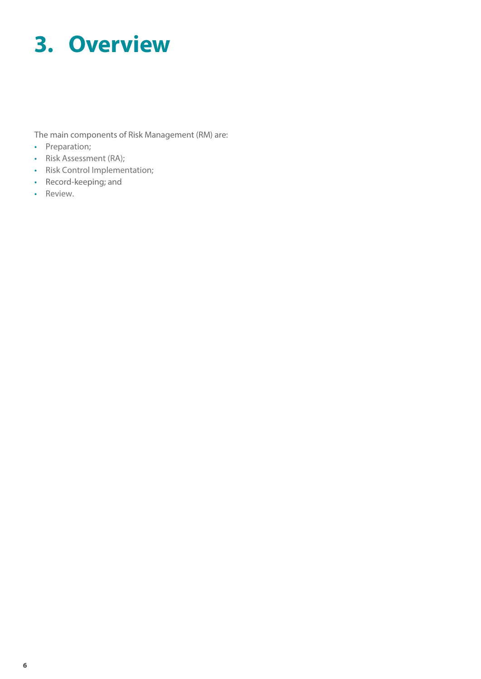# **3. Overview**

The main components of Risk Management (RM) are:

- Preparation;
- Risk Assessment (RA);
- Risk Control Implementation;
- Record-keeping; and
- Review.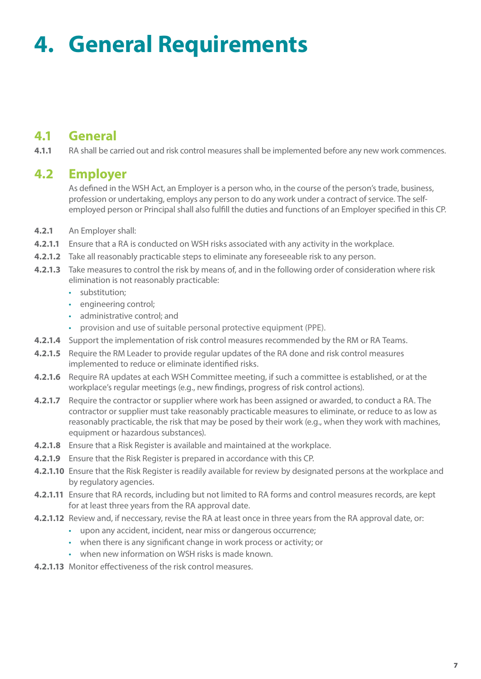# **4. General Requirements**

## **4.1 General**

**4.1.1** RA shall be carried out and risk control measures shall be implemented before any new work commences.

### **4.2 Employer**

As defined in the WSH Act, an Employer is a person who, in the course of the person's trade, business, profession or undertaking, employs any person to do any work under a contract of service. The selfemployed person or Principal shall also fulfill the duties and functions of an Employer specified in this CP.

- **4.2.1** An Employer shall:
- **4.2.1.1** Ensure that a RA is conducted on WSH risks associated with any activity in the workplace.
- **4.2.1.2** Take all reasonably practicable steps to eliminate any foreseeable risk to any person.
- **4.2.1.3** Take measures to control the risk by means of, and in the following order of consideration where risk elimination is not reasonably practicable:
	- substitution;
	- engineering control;
	- administrative control; and
	- provision and use of suitable personal protective equipment (PPE).
- **4.2.1.4** Support the implementation of risk control measures recommended by the RM or RA Teams.
- **4.2.1.5** Require the RM Leader to provide regular updates of the RA done and risk control measures implemented to reduce or eliminate identified risks.
- **4.2.1.6** Require RA updates at each WSH Committee meeting, if such a committee is established, or at the workplace's regular meetings (e.g., new findings, progress of risk control actions).
- **4.2.1.7** Require the contractor or supplier where work has been assigned or awarded, to conduct a RA. The contractor or supplier must take reasonably practicable measures to eliminate, or reduce to as low as reasonably practicable, the risk that may be posed by their work (e.g., when they work with machines, equipment or hazardous substances).
- **4.2.1.8** Ensure that a Risk Register is available and maintained at the workplace.
- **4.2.1.9** Ensure that the Risk Register is prepared in accordance with this CP.
- **4.2.1.10** Ensure that the Risk Register is readily available for review by designated persons at the workplace and by regulatory agencies.
- **4.2.1.11** Ensure that RA records, including but not limited to RA forms and control measures records, are kept for at least three years from the RA approval date.
- **4.2.1.12** Review and, if neccessary, revise the RA at least once in three years from the RA approval date, or:
	- upon any accident, incident, near miss or dangerous occurrence;
	- when there is any significant change in work process or activity; or
	- when new information on WSH risks is made known.
- **4.2.1.13** Monitor effectiveness of the risk control measures.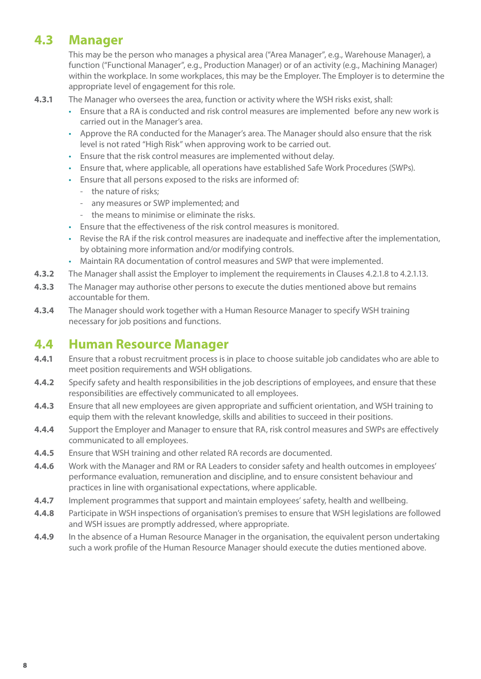## **4.3 Manager**

This may be the person who manages a physical area ("Area Manager", e.g., Warehouse Manager), a function ("Functional Manager", e.g., Production Manager) or of an activity (e.g., Machining Manager) within the workplace. In some workplaces, this may be the Employer. The Employer is to determine the appropriate level of engagement for this role.

- **4.3.1** The Manager who oversees the area, function or activity where the WSH risks exist, shall:
	- • Ensure that a RA is conducted and risk control measures are implemented before any new work is carried out in the Manager's area.
	- • Approve the RA conducted for the Manager's area. The Manager should also ensure that the risk level is not rated "High Risk" when approving work to be carried out.
	- Ensure that the risk control measures are implemented without delay.
	- Ensure that, where applicable, all operations have established Safe Work Procedures (SWPs).
	- Ensure that all persons exposed to the risks are informed of:
		- the nature of risks;
		- any measures or SWP implemented; and
		- the means to minimise or eliminate the risks.
	- **Ensure that the effectiveness of the risk control measures is monitored.**
	- • Revise the RA if the risk control measures are inadequate and ineffective after the implementation, by obtaining more information and/or modifying controls.
	- Maintain RA documentation of control measures and SWP that were implemented.
- **4.3.2** The Manager shall assist the Employer to implement the requirements in Clauses 4.2.1.8 to 4.2.1.13.
- **4.3.3** The Manager may authorise other persons to execute the duties mentioned above but remains accountable for them.
- **4.3.4** The Manager should work together with a Human Resource Manager to specify WSH training necessary for job positions and functions.

### **4.4 Human Resource Manager**

- **4.4.1** Ensure that a robust recruitment process is in place to choose suitable job candidates who are able to meet position requirements and WSH obligations.
- **4.4.2** Specify safety and health responsibilities in the job descriptions of employees, and ensure that these responsibilities are effectively communicated to all employees.
- **4.4.3** Ensure that all new employees are given appropriate and sufficient orientation, and WSH training to equip them with the relevant knowledge, skills and abilities to succeed in their positions.
- **4.4.4** Support the Employer and Manager to ensure that RA, risk control measures and SWPs are effectively communicated to all employees.
- **4.4.5** Ensure that WSH training and other related RA records are documented.
- **4.4.6** Work with the Manager and RM or RA Leaders to consider safety and health outcomes in employees' performance evaluation, remuneration and discipline, and to ensure consistent behaviour and practices in line with organisational expectations, where applicable.
- **4.4.7** Implement programmes that support and maintain employees' safety, health and wellbeing.
- **4.4.8** Participate in WSH inspections of organisation's premises to ensure that WSH legislations are followed and WSH issues are promptly addressed, where appropriate.
- **4.4.9** In the absence of a Human Resource Manager in the organisation, the equivalent person undertaking such a work profile of the Human Resource Manager should execute the duties mentioned above.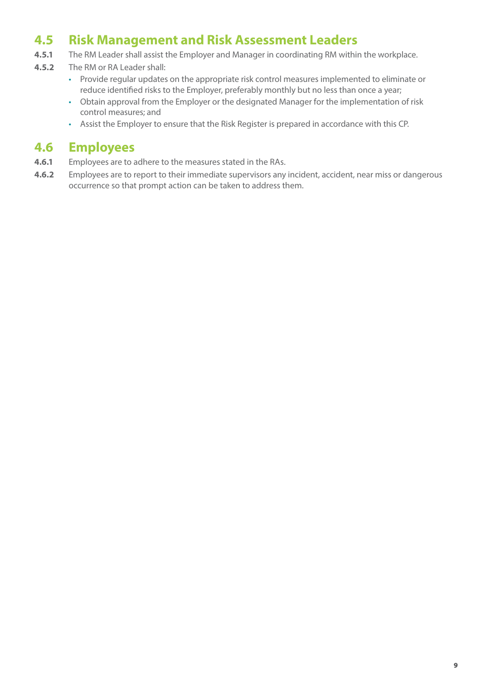## **4.5 Risk Management and Risk Assessment Leaders**

- **4.5.1** The RM Leader shall assist the Employer and Manager in coordinating RM within the workplace.
- **4.5.2** The RM or RA Leader shall:
	- Provide regular updates on the appropriate risk control measures implemented to eliminate or reduce identified risks to the Employer, preferably monthly but no less than once a year;
	- • Obtain approval from the Employer or the designated Manager for the implementation of risk control measures; and
	- • Assist the Employer to ensure that the Risk Register is prepared in accordance with this CP.

### **4.6 Employees**

- **4.6.1** Employees are to adhere to the measures stated in the RAs.
- **4.6.2** Employees are to report to their immediate supervisors any incident, accident, near miss or dangerous occurrence so that prompt action can be taken to address them.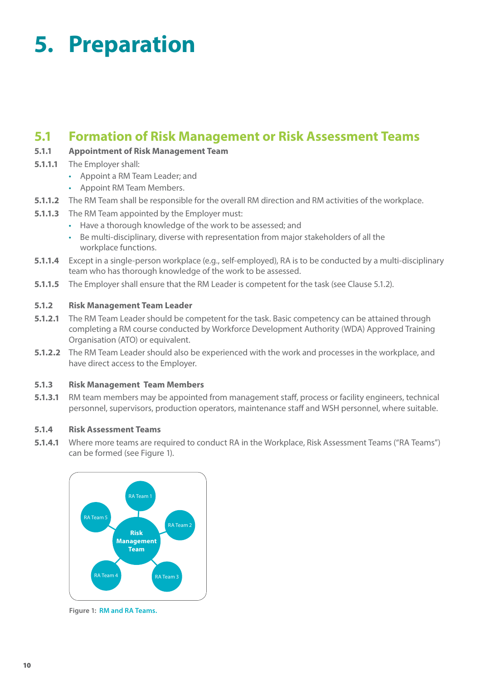# **5. Preparation**

### **5.1 Formation of Risk Management or Risk Assessment Teams**

#### **5.1.1 Appointment of Risk Management Team**

- **5.1.1.1** The Employer shall:
	- • Appoint a RM Team Leader; and
	- • Appoint RM Team Members.
- **5.1.1.2** The RM Team shall be responsible for the overall RM direction and RM activities of the workplace.
- **5.1.1.3** The RM Team appointed by the Employer must:
	- Have a thorough knowledge of the work to be assessed; and
	- • Be multi-disciplinary, diverse with representation from major stakeholders of all the workplace functions.
- **5.1.1.4** Except in a single-person workplace (e.g., self-employed), RA is to be conducted by a multi-disciplinary team who has thorough knowledge of the work to be assessed.
- **5.1.1.5** The Employer shall ensure that the RM Leader is competent for the task (see Clause 5.1.2).

#### **5.1.2 Risk Management Team Leader**

- **5.1.2.1** The RM Team Leader should be competent for the task. Basic competency can be attained through completing a RM course conducted by Workforce Development Authority (WDA) Approved Training Organisation (ATO) or equivalent.
- **5.1.2.2** The RM Team Leader should also be experienced with the work and processes in the workplace, and have direct access to the Employer.

#### **5.1.3 Risk Management Team Members**

**5.1.3.1** RM team members may be appointed from management staff, process or facility engineers, technical personnel, supervisors, production operators, maintenance staff and WSH personnel, where suitable.

#### **5.1.4 Risk Assessment Teams**

**5.1.4.1** Where more teams are required to conduct RA in the Workplace, Risk Assessment Teams ("RA Teams") can be formed (see Figure 1).



**Figure 1: RM and RA Teams.**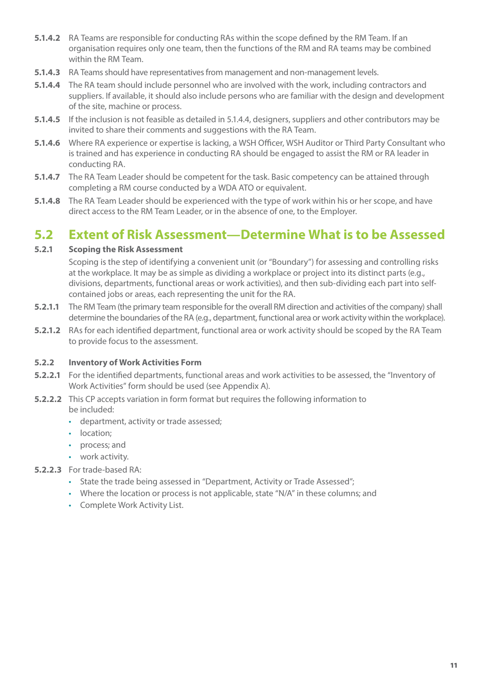- **5.1.4.2** RA Teams are responsible for conducting RAs within the scope defined by the RM Team. If an organisation requires only one team, then the functions of the RM and RA teams may be combined within the RM Team.
- **5.1.4.3** RA Teams should have representatives from management and non-management levels.
- **5.1.4.4** The RA team should include personnel who are involved with the work, including contractors and suppliers. If available, it should also include persons who are familiar with the design and development of the site, machine or process.
- **5.1.4.5** If the inclusion is not feasible as detailed in 5.1.4.4, designers, suppliers and other contributors may be invited to share their comments and suggestions with the RA Team.
- **5.1.4.6** Where RA experience or expertise is lacking, a WSH Officer, WSH Auditor or Third Party Consultant who is trained and has experience in conducting RA should be engaged to assist the RM or RA leader in conducting RA.
- **5.1.4.7** The RA Team Leader should be competent for the task. Basic competency can be attained through completing a RM course conducted by a WDA ATO or equivalent.
- **5.1.4.8** The RA Team Leader should be experienced with the type of work within his or her scope, and have direct access to the RM Team Leader, or in the absence of one, to the Employer.

### **5.2 Extent of Risk Assessment—Determine What is to be Assessed**

#### **5.2.1 Scoping the Risk Assessment**

Scoping is the step of identifying a convenient unit (or "Boundary") for assessing and controlling risks at the workplace. It may be as simple as dividing a workplace or project into its distinct parts (e.g., divisions, departments, functional areas or work activities), and then sub-dividing each part into selfcontained jobs or areas, each representing the unit for the RA.

- **5.2.1.1** The RM Team (the primary team responsible for the overall RM direction and activities of the company) shall determine the boundaries of the RA (e.g., department, functional area or work activity within the workplace).
- **5.2.1.2** RAs for each identified department, functional area or work activity should be scoped by the RA Team to provide focus to the assessment.

#### **5.2.2 Inventory of Work Activities Form**

- **5.2.2.1** For the identified departments, functional areas and work activities to be assessed, the "Inventory of Work Activities" form should be used (see Appendix A).
- **5.2.2.2** This CP accepts variation in form format but requires the following information to be included:
	- • department, activity or trade assessed;
	- location:
	- • process; and
	- work activity.
- **5.2.2.3** For trade-based RA:
	- State the trade being assessed in "Department, Activity or Trade Assessed":
	- Where the location or process is not applicable, state "N/A" in these columns; and
	- • Complete Work Activity List.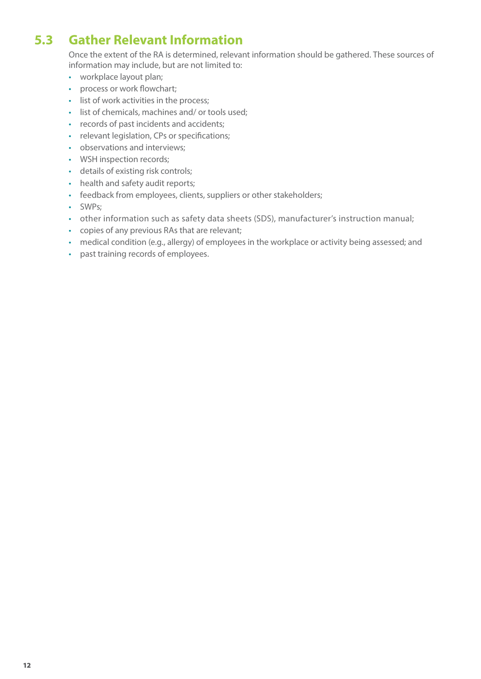## **5.3 Gather Relevant Information**

Once the extent of the RA is determined, relevant information should be gathered. These sources of information may include, but are not limited to:

- • workplace layout plan;
- process or work flowchart;
- list of work activities in the process;
- list of chemicals, machines and/ or tools used;
- • records of past incidents and accidents;
- relevant legislation, CPs or specifications;
- observations and interviews;
- WSH inspection records;
- • details of existing risk controls;
- health and safety audit reports;
- feedback from employees, clients, suppliers or other stakeholders;
- • SWPs;
- other information such as safety data sheets (SDS), manufacturer's instruction manual;
- • copies of any previous RAs that are relevant;
- medical condition (e.g., allergy) of employees in the workplace or activity being assessed; and
- past training records of employees.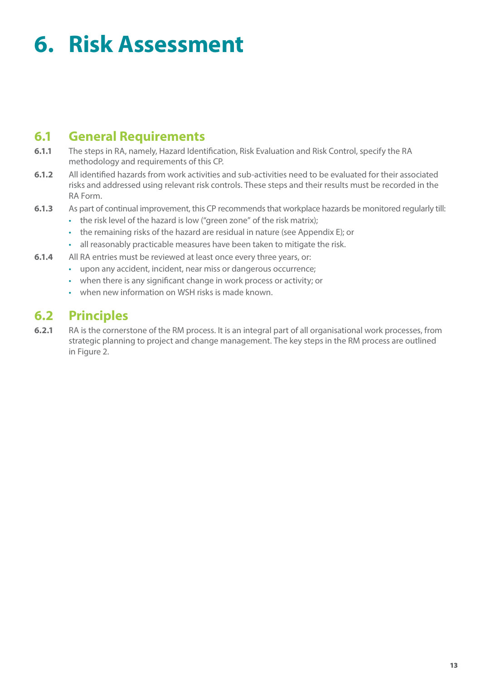# **6. Risk Assessment**

## **6.1 General Requirements**

- **6.1.1** The steps in RA, namely, Hazard Identification, Risk Evaluation and Risk Control, specify the RA methodology and requirements of this CP.
- **6.1.2** All identified hazards from work activities and sub-activities need to be evaluated for their associated risks and addressed using relevant risk controls. These steps and their results must be recorded in the RA Form.
- **6.1.3** As part of continual improvement, this CP recommends that workplace hazards be monitored regularly till:
	- the risk level of the hazard is low ("green zone" of the risk matrix);
	- the remaining risks of the hazard are residual in nature (see Appendix E); or
	- all reasonably practicable measures have been taken to mitigate the risk.
- **6.1.4** All RA entries must be reviewed at least once every three years, or:
	- upon any accident, incident, near miss or dangerous occurrence;
	- when there is any significant change in work process or activity; or
	- when new information on WSH risks is made known.

### **6.2 Principles**

**6.2.1** RA is the cornerstone of the RM process. It is an integral part of all organisational work processes, from strategic planning to project and change management. The key steps in the RM process are outlined in Figure 2.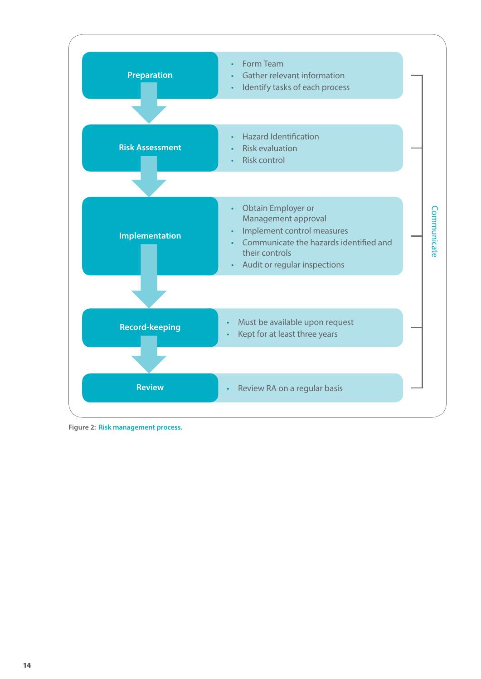

**Figure 2: Risk management process.**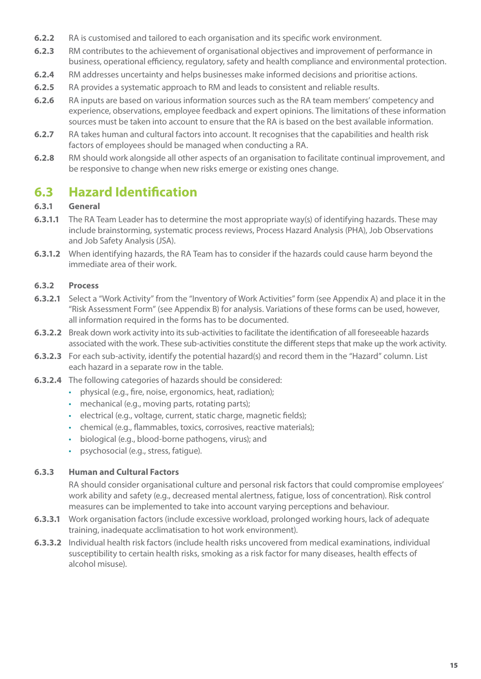- **6.2.2** RA is customised and tailored to each organisation and its specific work environment.
- **6.2.3** RM contributes to the achievement of organisational objectives and improvement of performance in business, operational efficiency, regulatory, safety and health compliance and environmental protection.
- **6.2.4** RM addresses uncertainty and helps businesses make informed decisions and prioritise actions.
- **6.2.5** RA provides a systematic approach to RM and leads to consistent and reliable results.
- **6.2.6** RA inputs are based on various information sources such as the RA team members' competency and experience, observations, employee feedback and expert opinions. The limitations of these information sources must be taken into account to ensure that the RA is based on the best available information.
- **6.2.7** RA takes human and cultural factors into account. It recognises that the capabilities and health risk factors of employees should be managed when conducting a RA.
- **6.2.8** RM should work alongside all other aspects of an organisation to facilitate continual improvement, and be responsive to change when new risks emerge or existing ones change.

## **6.3 Hazard Identification**

#### **6.3.1 General**

- **6.3.1.1** The RA Team Leader has to determine the most appropriate way(s) of identifying hazards. These may include brainstorming, systematic process reviews, Process Hazard Analysis (PHA), Job Observations and Job Safety Analysis (JSA).
- **6.3.1.2** When identifying hazards, the RA Team has to consider if the hazards could cause harm beyond the immediate area of their work.

#### **6.3.2 Process**

- **6.3.2.1** Select a "Work Activity" from the "Inventory of Work Activities" form (see Appendix A) and place it in the "Risk Assessment Form" (see Appendix B) for analysis. Variations of these forms can be used, however, all information required in the forms has to be documented.
- **6.3.2.2** Break down work activity into its sub-activities to facilitate the identification of all foreseeable hazards associated with the work. These sub-activities constitute the different steps that make up the work activity.
- **6.3.2.3** For each sub-activity, identify the potential hazard(s) and record them in the "Hazard" column. List each hazard in a separate row in the table.
- **6.3.2.4** The following categories of hazards should be considered:
	- physical (e.g., fire, noise, ergonomics, heat, radiation);
		- mechanical (e.g., moving parts, rotating parts);
		- electrical (e.g., voltage, current, static charge, magnetic fields);
		- chemical (e.g., flammables, toxics, corrosives, reactive materials);
		- biological (e.g., blood-borne pathogens, virus); and
		- psychosocial (e.g., stress, fatique).

#### **6.3.3 Human and Cultural Factors**

RA should consider organisational culture and personal risk factors that could compromise employees' work ability and safety (e.g., decreased mental alertness, fatigue, loss of concentration). Risk control measures can be implemented to take into account varying perceptions and behaviour.

- **6.3.3.1** Work organisation factors (include excessive workload, prolonged working hours, lack of adequate training, inadequate acclimatisation to hot work environment).
- **6.3.3.2** Individual health risk factors (include health risks uncovered from medical examinations, individual susceptibility to certain health risks, smoking as a risk factor for many diseases, health effects of alcohol misuse).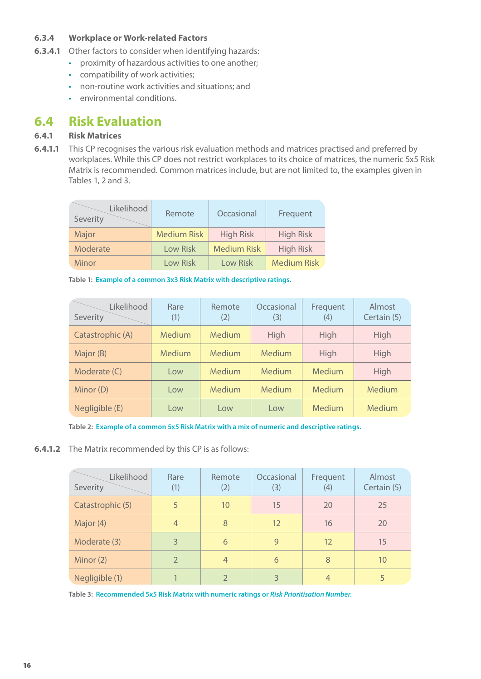#### **6.3.4 Workplace or Work-related Factors**

- **6.3.4.1** Other factors to consider when identifying hazards:
	- proximity of hazardous activities to one another;
	- • compatibility of work activities;
	- • non-routine work activities and situations; and
	- • environmental conditions.

### **6.4 Risk Evaluation**

#### **6.4.1 Risk Matrices**

**6.4.1.1** This CP recognises the various risk evaluation methods and matrices practised and preferred by workplaces. While this CP does not restrict workplaces to its choice of matrices, the numeric 5x5 Risk Matrix is recommended. Common matrices include, but are not limited to, the examples given in Tables 1, 2 and 3.

| Likelihood<br>Severity | Remote             | Occasional         | Frequent           |
|------------------------|--------------------|--------------------|--------------------|
| Major                  | <b>Medium Risk</b> | <b>High Risk</b>   | <b>High Risk</b>   |
| Moderate               | Low Risk           | <b>Medium Risk</b> | <b>High Risk</b>   |
| <b>Minor</b>           | Low Risk           | <b>Low Risk</b>    | <b>Medium Risk</b> |

**Table 1: Example of a common 3x3 Risk Matrix with descriptive ratings.**

| Likelihood<br>Severity | Rare<br>(1)   | Remote<br>(2) | Occasional<br>(3) | Frequent<br>(4) | Almost<br>Certain (5) |
|------------------------|---------------|---------------|-------------------|-----------------|-----------------------|
| Catastrophic (A)       | <b>Medium</b> | Medium        | High              | High            | High                  |
| Major (B)              | <b>Medium</b> | Medium        | Medium            | High            | High                  |
| Moderate (C)           | Low           | Medium        | Medium            | Medium          | High                  |
| Minor (D)              | Low           | Medium        | Medium            | Medium          | Medium                |
| Negligible (E)         | Low           | Low           | Low               | Medium          | Medium                |

**Table 2: Example of a common 5x5 Risk Matrix with a mix of numeric and descriptive ratings.**

**6.4.1.2** The Matrix recommended by this CP is as follows:

| Likelihood<br>Severity | Rare<br>(1)    | Remote<br>(2)  | Occasional<br>(3) | Frequent<br>(4) | Almost<br>Certain (5) |
|------------------------|----------------|----------------|-------------------|-----------------|-----------------------|
| Catastrophic (5)       | 5              | 10             | 15                | 20              | 25                    |
| Major (4)              | $\overline{4}$ | 8              | 12                | 16              | 20                    |
| Moderate (3)           | 3              | 6              | 9                 | 12              | 15                    |
| Minor (2)              | $\overline{2}$ | $\overline{4}$ | 6                 | 8               | 10                    |
| Negligible (1)         |                |                | 3                 | $\overline{4}$  | 5                     |

**Table 3: Recommended 5x5 Risk Matrix with numeric ratings or** *Risk Prioritisation Number.*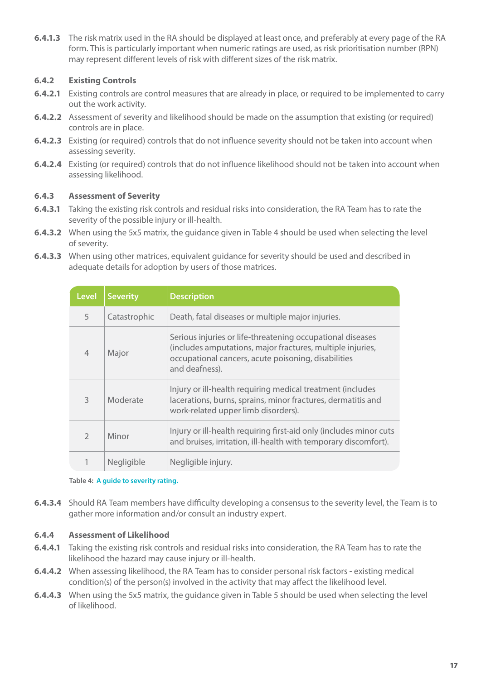**6.4.1.3** The risk matrix used in the RA should be displayed at least once, and preferably at every page of the RA form. This is particularly important when numeric ratings are used, as risk prioritisation number (RPN) may represent different levels of risk with different sizes of the risk matrix.

#### **6.4.2 Existing Controls**

- **6.4.2.1** Existing controls are control measures that are already in place, or required to be implemented to carry out the work activity.
- **6.4.2.2** Assessment of severity and likelihood should be made on the assumption that existing (or required) controls are in place.
- **6.4.2.3** Existing (or required) controls that do not influence severity should not be taken into account when assessing severity.
- **6.4.2.4** Existing (or required) controls that do not influence likelihood should not be taken into account when assessing likelihood.

#### **6.4.3 Assessment of Severity**

- **6.4.3.1** Taking the existing risk controls and residual risks into consideration, the RA Team has to rate the severity of the possible injury or ill-health.
- **6.4.3.2** When using the 5x5 matrix, the guidance given in Table 4 should be used when selecting the level of severity.
- **6.4.3.3** When using other matrices, equivalent guidance for severity should be used and described in adequate details for adoption by users of those matrices.

| <b>Level</b>             | <b>Severity</b>   | <b>Description</b>                                                                                                                                                                                |
|--------------------------|-------------------|---------------------------------------------------------------------------------------------------------------------------------------------------------------------------------------------------|
| 5                        | Catastrophic      | Death, fatal diseases or multiple major injuries.                                                                                                                                                 |
| $\overline{4}$           | Major             | Serious injuries or life-threatening occupational diseases<br>(includes amputations, major fractures, multiple injuries,<br>occupational cancers, acute poisoning, disabilities<br>and deafness). |
| $\overline{\mathcal{E}}$ | Moderate          | Injury or ill-health requiring medical treatment (includes<br>lacerations, burns, sprains, minor fractures, dermatitis and<br>work-related upper limb disorders).                                 |
| $\mathcal{P}$            | Minor             | Injury or ill-health requiring first-aid only (includes minor cuts<br>and bruises, irritation, ill-health with temporary discomfort).                                                             |
|                          | <b>Negligible</b> | Negligible injury.                                                                                                                                                                                |

#### **Table 4: A guide to severity rating.**

**6.4.3.4** Should RA Team members have difficulty developing a consensus to the severity level, the Team is to gather more information and/or consult an industry expert.

#### **6.4.4 Assessment of Likelihood**

- **6.4.4.1** Taking the existing risk controls and residual risks into consideration, the RA Team has to rate the likelihood the hazard may cause injury or ill-health.
- **6.4.4.2** When assessing likelihood, the RA Team has to consider personal risk factors existing medical condition(s) of the person(s) involved in the activity that may affect the likelihood level.
- **6.4.4.3** When using the 5x5 matrix, the guidance given in Table 5 should be used when selecting the level of likelihood.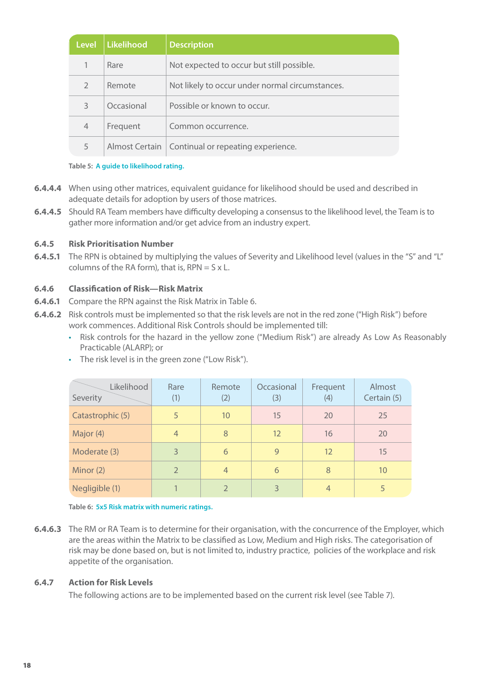| <b>Level</b>  | <b>Likelihood</b> | <b>Description</b>                                  |
|---------------|-------------------|-----------------------------------------------------|
|               | Rare              | Not expected to occur but still possible.           |
| $\mathcal{D}$ | Remote            | Not likely to occur under normal circumstances.     |
| 3             | Occasional        | Possible or known to occur.                         |
| 4             | Frequent          | Common occurrence.                                  |
| 5             |                   | Almost Certain   Continual or repeating experience. |

#### **Table 5: A guide to likelihood rating.**

- **6.4.4.4** When using other matrices, equivalent guidance for likelihood should be used and described in adequate details for adoption by users of those matrices.
- **6.4.4.5** Should RA Team members have difficulty developing a consensus to the likelihood level, the Team is to gather more information and/or get advice from an industry expert.

#### **6.4.5 Risk Prioritisation Number**

**6.4.5.1** The RPN is obtained by multiplying the values of Severity and Likelihood level (values in the "S" and "L" columns of the RA form), that is,  $RPN = S \times L$ .

#### **6.4.6 Classification of Risk—Risk Matrix**

- **6.4.6.1** Compare the RPN against the Risk Matrix in Table 6.
- **6.4.6.2** Risk controls must be implemented so that the risk levels are not in the red zone ("High Risk") before work commences. Additional Risk Controls should be implemented till:
	- • Risk controls for the hazard in the yellow zone ("Medium Risk") are already As Low As Reasonably Practicable (ALARP); or

| Likelihood<br>Severity | Rare<br>(1)    | Remote<br>(2)  | Occasional<br>(3) | Frequent<br>(4) | Almost<br>Certain (5) |
|------------------------|----------------|----------------|-------------------|-----------------|-----------------------|
| Catastrophic (5)       | 5              | 10             | 15                | 20              | 25                    |
| Major (4)              | $\overline{4}$ | 8              | 12                | 16              | 20                    |
| Moderate (3)           | 3              | 6              | 9                 | 12              | 15                    |
| Minor (2)              | $\overline{2}$ | $\overline{4}$ | 6                 | 8               | 10                    |
| Negligible (1)         |                | $\overline{2}$ | 3                 | $\overline{4}$  | 5                     |

• The risk level is in the green zone ("Low Risk").

**Table 6: 5x5 Risk matrix with numeric ratings.**

**6.4.6.3** The RM or RA Team is to determine for their organisation, with the concurrence of the Employer, which are the areas within the Matrix to be classified as Low, Medium and High risks. The categorisation of risk may be done based on, but is not limited to, industry practice, policies of the workplace and risk appetite of the organisation.

#### **6.4.7 Action for Risk Levels**

The following actions are to be implemented based on the current risk level (see Table 7).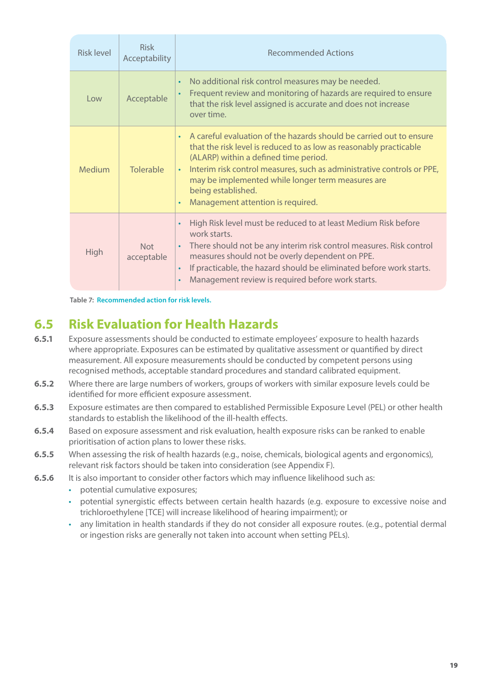| Risk level  | <b>Risk</b><br>Acceptability | <b>Recommended Actions</b>                                                                                                                                                                                                                                                                                                                                                                |
|-------------|------------------------------|-------------------------------------------------------------------------------------------------------------------------------------------------------------------------------------------------------------------------------------------------------------------------------------------------------------------------------------------------------------------------------------------|
| Low         | Acceptable                   | No additional risk control measures may be needed.<br>$\bullet$<br>Frequent review and monitoring of hazards are required to ensure<br>that the risk level assigned is accurate and does not increase<br>over time.                                                                                                                                                                       |
| Medium      | Tolerable                    | A careful evaluation of the hazards should be carried out to ensure<br>that the risk level is reduced to as low as reasonably practicable<br>(ALARP) within a defined time period.<br>Interim risk control measures, such as administrative controls or PPE,<br>$\bullet$<br>may be implemented while longer term measures are<br>being established.<br>Management attention is required. |
| <b>High</b> | <b>Not</b><br>acceptable     | High Risk level must be reduced to at least Medium Risk before<br>$\bullet$<br>work starts.<br>There should not be any interim risk control measures. Risk control<br>measures should not be overly dependent on PPE.<br>If practicable, the hazard should be eliminated before work starts.<br>$\bullet$<br>Management review is required before work starts.                            |

**Table 7: Recommended action for risk levels.**

## **6.5 Risk Evaluation for Health Hazards**

- **6.5.1** Exposure assessments should be conducted to estimate employees' exposure to health hazards where appropriate. Exposures can be estimated by qualitative assessment or quantified by direct measurement. All exposure measurements should be conducted by competent persons using recognised methods, acceptable standard procedures and standard calibrated equipment.
- **6.5.2** Where there are large numbers of workers, groups of workers with similar exposure levels could be identified for more efficient exposure assessment.
- **6.5.3** Exposure estimates are then compared to established Permissible Exposure Level (PEL) or other health standards to establish the likelihood of the ill-health effects.
- **6.5.4** Based on exposure assessment and risk evaluation, health exposure risks can be ranked to enable prioritisation of action plans to lower these risks.
- **6.5.5** When assessing the risk of health hazards (e.g., noise, chemicals, biological agents and ergonomics), relevant risk factors should be taken into consideration (see Appendix F).
- **6.5.6** It is also important to consider other factors which may influence likelihood such as:
	- potential cumulative exposures;
	- potential synergistic effects between certain health hazards (e.g. exposure to excessive noise and trichloroethylene [TCE] will increase likelihood of hearing impairment); or
	- any limitation in health standards if they do not consider all exposure routes. (e.g., potential dermal or ingestion risks are generally not taken into account when setting PELs).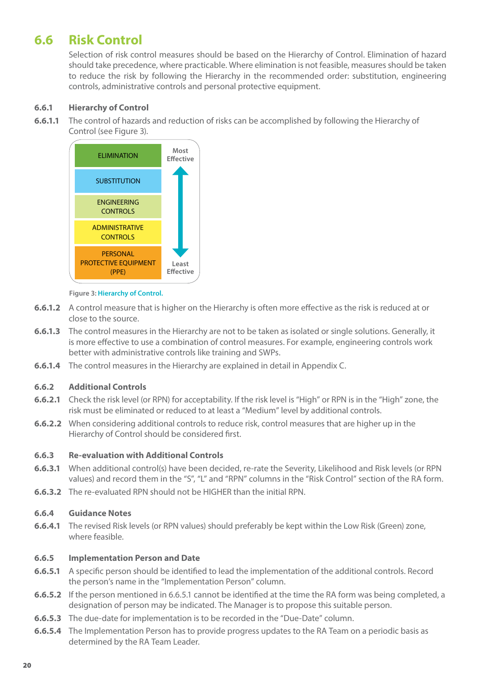## **6.6 Risk Control**

Selection of risk control measures should be based on the Hierarchy of Control. Elimination of hazard should take precedence, where practicable. Where elimination is not feasible, measures should be taken to reduce the risk by following the Hierarchy in the recommended order: substitution, engineering controls, administrative controls and personal protective equipment.

#### **6.6.1 Hierarchy of Control**

**6.6.1.1** The control of hazards and reduction of risks can be accomplished by following the Hierarchy of Control (see Figure 3).



#### **Figure 3: Hierarchy of Control.**

- **6.6.1.2** A control measure that is higher on the Hierarchy is often more effective as the risk is reduced at or close to the source.
- **6.6.1.3** The control measures in the Hierarchy are not to be taken as isolated or single solutions. Generally, it is more effective to use a combination of control measures. For example, engineering controls work better with administrative controls like training and SWPs.
- **6.6.1.4** The control measures in the Hierarchy are explained in detail in Appendix C.

#### **6.6.2 Additional Controls**

- **6.6.2.1** Check the risk level (or RPN) for acceptability. If the risk level is "High" or RPN is in the "High" zone, the risk must be eliminated or reduced to at least a "Medium" level by additional controls.
- **6.6.2.2** When considering additional controls to reduce risk, control measures that are higher up in the Hierarchy of Control should be considered first.

#### **6.6.3 Re-evaluation with Additional Controls**

- **6.6.3.1** When additional control(s) have been decided, re-rate the Severity, Likelihood and Risk levels (or RPN values) and record them in the "S", "L" and "RPN" columns in the "Risk Control" section of the RA form.
- **6.6.3.2** The re-evaluated RPN should not be HIGHER than the initial RPN.

#### **6.6.4 Guidance Notes**

**6.6.4.1** The revised Risk levels (or RPN values) should preferably be kept within the Low Risk (Green) zone, where feasible.

#### **6.6.5 Implementation Person and Date**

- **6.6.5.1** A specific person should be identified to lead the implementation of the additional controls. Record the person's name in the "Implementation Person" column.
- **6.6.5.2** If the person mentioned in 6.6.5.1 cannot be identified at the time the RA form was being completed, a designation of person may be indicated. The Manager is to propose this suitable person.
- **6.6.5.3** The due-date for implementation is to be recorded in the "Due-Date" column.
- **6.6.5.4** The Implementation Person has to provide progress updates to the RA Team on a periodic basis as determined by the RA Team Leader.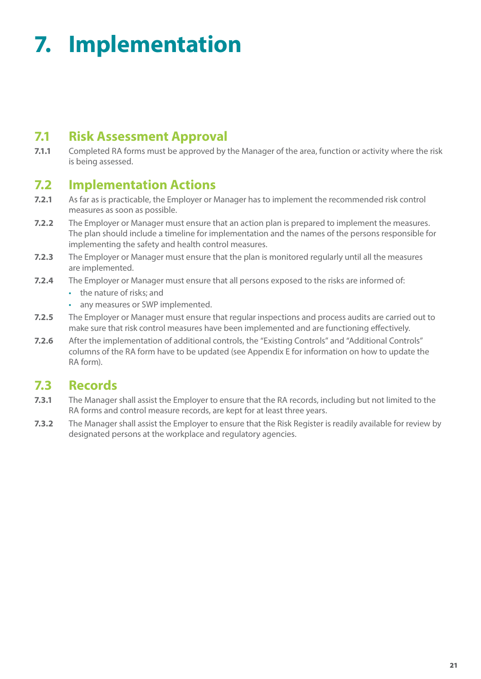# **7. Implementation**

## **7.1 Risk Assessment Approval**

**7.1.1** Completed RA forms must be approved by the Manager of the area, function or activity where the risk is being assessed.

## **7.2 Implementation Actions**

- **7.2.1** As far as is practicable, the Employer or Manager has to implement the recommended risk control measures as soon as possible.
- **7.2.2** The Employer or Manager must ensure that an action plan is prepared to implement the measures. The plan should include a timeline for implementation and the names of the persons responsible for implementing the safety and health control measures.
- **7.2.3** The Employer or Manager must ensure that the plan is monitored regularly until all the measures are implemented.
- **7.2.4** The Employer or Manager must ensure that all persons exposed to the risks are informed of:
	- • the nature of risks; and
	- • any measures or SWP implemented.
- **7.2.5** The Employer or Manager must ensure that regular inspections and process audits are carried out to make sure that risk control measures have been implemented and are functioning effectively.
- **7.2.6** After the implementation of additional controls, the "Existing Controls" and "Additional Controls" columns of the RA form have to be updated (see Appendix E for information on how to update the RA form).

## **7.3 Records**

- **7.3.1** The Manager shall assist the Employer to ensure that the RA records, including but not limited to the RA forms and control measure records, are kept for at least three years.
- **7.3.2** The Manager shall assist the Employer to ensure that the Risk Register is readily available for review by designated persons at the workplace and regulatory agencies.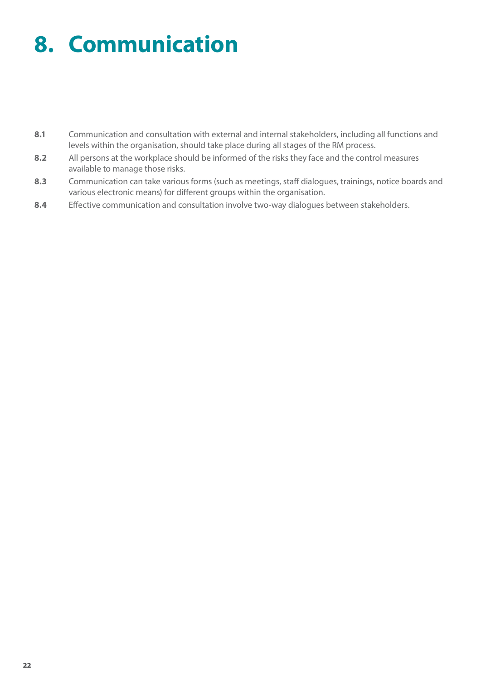# **8. Communication**

- 8.1 Communication and consultation with external and internal stakeholders, including all functions and levels within the organisation, should take place during all stages of the RM process.
- **8.2** All persons at the workplace should be informed of the risks they face and the control measures available to manage those risks.
- **8.3** Communication can take various forms (such as meetings, staff dialogues, trainings, notice boards and various electronic means) for different groups within the organisation.
- **8.4** Effective communication and consultation involve two-way dialogues between stakeholders.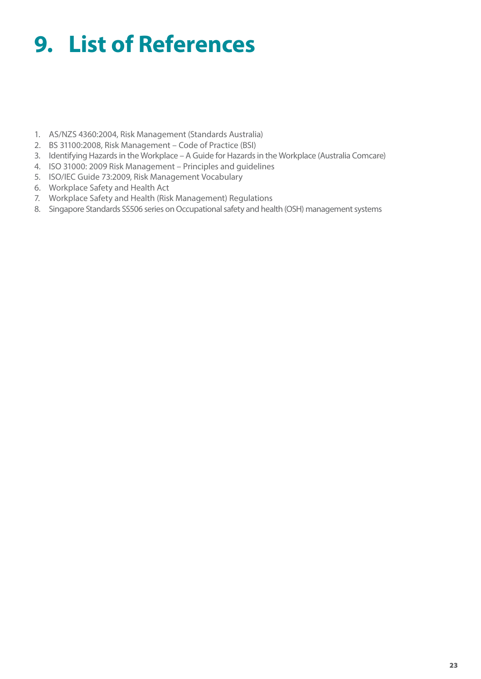# **9. List of References**

- 1. AS/NZS 4360:2004, Risk Management (Standards Australia)
- 2. BS 31100:2008, Risk Management Code of Practice (BSI)
- 3. Identifying Hazards in the Workplace A Guide for Hazards in the Workplace (Australia Comcare)
- 4. ISO 31000: 2009 Risk Management Principles and guidelines
- 5. ISO/IEC Guide 73:2009, Risk Management Vocabulary
- 6. Workplace Safety and Health Act
- 7. Workplace Safety and Health (Risk Management) Regulations
- 8. Singapore Standards SS506 series on Occupational safety and health (OSH) management systems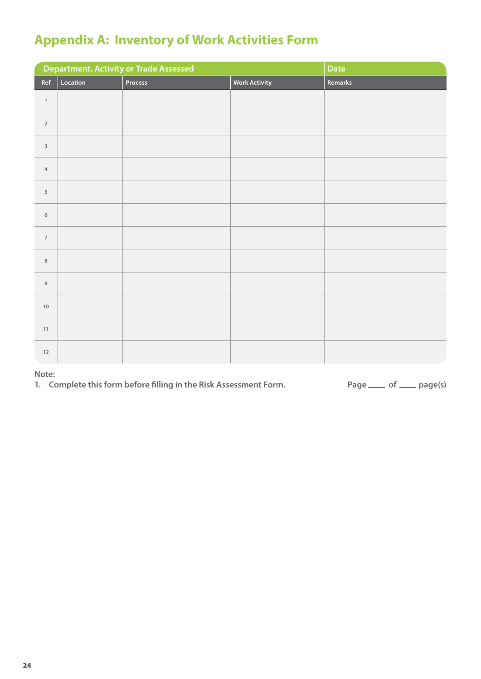## **Appendix A: Inventory of Work Activities Form**

|                         |          | <b>Department, Activity or Trade Assessed</b> |                      | Date    |
|-------------------------|----------|-----------------------------------------------|----------------------|---------|
| Ref                     | Location | Process                                       | <b>Work Activity</b> | Remarks |
| $\,1\,$                 |          |                                               |                      |         |
| $\mathbf{2}$            |          |                                               |                      |         |
| $\overline{\mathbf{3}}$ |          |                                               |                      |         |
| $\sqrt{4}$              |          |                                               |                      |         |
| $\sqrt{5}$              |          |                                               |                      |         |
| $\,$ 6 $\,$             |          |                                               |                      |         |
| $\overline{7}$          |          |                                               |                      |         |
| $\,$ 8 $\,$             |          |                                               |                      |         |
| $\mathsf g$             |          |                                               |                      |         |
| $10\,$                  |          |                                               |                      |         |
| $11\,$                  |          |                                               |                      |         |
| $12\,$                  |          |                                               |                      |         |

**Note:**

1. Complete this form before filling in the Risk Assessment Form. Page and Page and Page(s)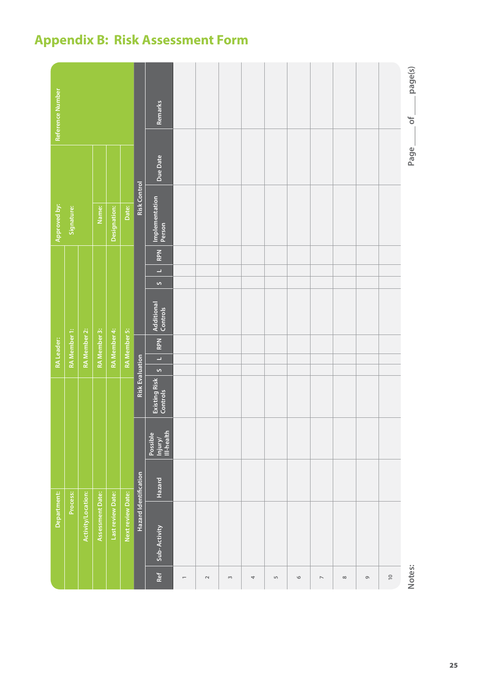## **Appendix B: Risk Assessment Form**

|                          |                    |                       |                                   |                        |         | RA Leader:               |                     |                        |              |                          |            |                     |          | Reference Number    |  |
|--------------------------|--------------------|-----------------------|-----------------------------------|------------------------|---------|--------------------------|---------------------|------------------------|--------------|--------------------------|------------|---------------------|----------|---------------------|--|
|                          | Department:        |                       |                                   |                        |         |                          |                     |                        |              |                          |            | Approved by:        |          |                     |  |
|                          | Process:           |                       |                                   |                        |         |                          | RA Member 1:        |                        |              |                          |            | Signature:          |          |                     |  |
|                          | Activity/Location: |                       |                                   |                        |         |                          | RA Member 2:        |                        |              |                          |            |                     |          |                     |  |
|                          | Assessment Date:   |                       |                                   |                        |         |                          | RA Member 3:        |                        |              |                          |            | Name:               |          |                     |  |
|                          | Last review Date:  |                       |                                   |                        |         |                          | RA Member 4:        |                        |              |                          |            | Designation:        |          |                     |  |
|                          | Next review Date:  |                       |                                   |                        |         |                          | <b>RA</b> Member 5: |                        |              |                          |            | Date:               |          |                     |  |
|                          |                    | Hazard Identification |                                   | <b>Risk Evaluation</b> |         |                          |                     |                        |              |                          |            | <b>Risk Control</b> |          |                     |  |
| Ref                      | Sub-Activity       | Hazard                | III-health<br>Possible<br>Injury/ | Existing Risk          | $\circ$ | $\overline{\phantom{a}}$ | RPN                 | Additional<br>Controls | $\mathbf{v}$ | $\overline{\phantom{a}}$ | <b>RPN</b> | Implementation      | Due Date | Remarks             |  |
|                          |                    |                       |                                   |                        |         |                          |                     |                        |              |                          |            |                     |          |                     |  |
| $\sim$                   |                    |                       |                                   |                        |         |                          |                     |                        |              |                          |            |                     |          |                     |  |
| $\sim$                   |                    |                       |                                   |                        |         |                          |                     |                        |              |                          |            |                     |          |                     |  |
| 4                        |                    |                       |                                   |                        |         |                          |                     |                        |              |                          |            |                     |          |                     |  |
| LŊ                       |                    |                       |                                   |                        |         |                          |                     |                        |              |                          |            |                     |          |                     |  |
| $\circ$                  |                    |                       |                                   |                        |         |                          |                     |                        |              |                          |            |                     |          |                     |  |
| $\overline{\phantom{a}}$ |                    |                       |                                   |                        |         |                          |                     |                        |              |                          |            |                     |          |                     |  |
| $\infty$                 |                    |                       |                                   |                        |         |                          |                     |                        |              |                          |            |                     |          |                     |  |
| $\circ$                  |                    |                       |                                   |                        |         |                          |                     |                        |              |                          |            |                     |          |                     |  |
| $\frac{1}{2}$            |                    |                       |                                   |                        |         |                          |                     |                        |              |                          |            |                     |          |                     |  |
| Notes:                   |                    |                       |                                   |                        |         |                          |                     |                        |              |                          |            |                     | Page     | page(s)<br>$\sigma$ |  |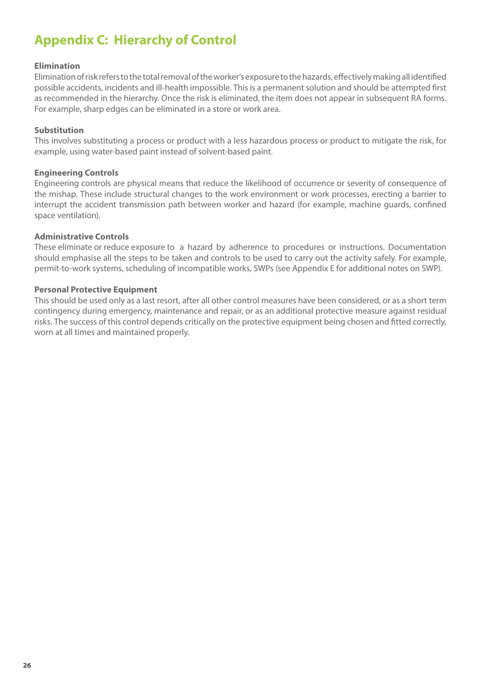## **Appendix C: Hierarchy of Control**

#### **Elimination**

Elimination of risk refers to the total removal of the worker's exposure to the hazards, effectively making all identified possible accidents, incidents and ill-health impossible. This is a permanent solution and should be attempted first as recommended in the hierarchy. Once the risk is eliminated, the item does not appear in subsequent RA forms. For example, sharp edges can be eliminated in a store or work area.

#### **Substitution**

This involves substituting a process or product with a less hazardous process or product to mitigate the risk, for example, using water-based paint instead of solvent-based paint.

#### **Engineering Controls**

Engineering controls are physical means that reduce the likelihood of occurrence or severity of consequence of the mishap. These include structural changes to the work environment or work processes, erecting a barrier to interrupt the accident transmission path between worker and hazard (for example, machine guards, confined space ventilation).

#### **Administrative Controls**

These eliminate or reduce exposure to a hazard by adherence to procedures or instructions. Documentation should emphasise all the steps to be taken and controls to be used to carry out the activity safely. For example, permit-to-work systems, scheduling of incompatible works, SWPs (see Appendix E for additional notes on SWP).

#### **Personal Protective Equipment**

This should be used only as a last resort, after all other control measures have been considered, or as a short term contingency during emergency, maintenance and repair, or as an additional protective measure against residual risks. The success of this control depends critically on the protective equipment being chosen and fitted correctly, worn at all times and maintained properly.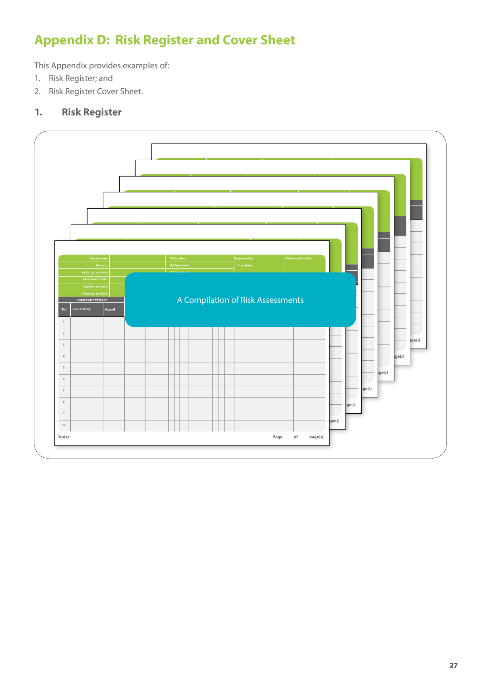## **Appendix D: Risk Register and Cover Sheet**

This Appendix provides examples of:

- 1. Risk Register; and
- 2. Risk Register Cover Sheet.

### **1. Risk Register**

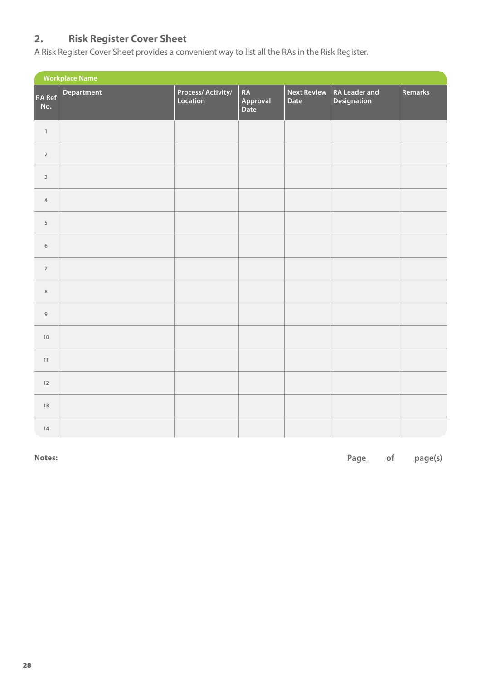### **2. Risk Register Cover Sheet**

A Risk Register Cover Sheet provides a convenient way to list all the RAs in the Risk Register.

| <b>Workplace Name</b>    |            |                                      |                        |                            |                                     |         |
|--------------------------|------------|--------------------------------------|------------------------|----------------------------|-------------------------------------|---------|
| RA Ref <br>No.           | Department | <b>Process/Activity/</b><br>Location | RA<br>Approval<br>Date | <b>Next Review</b><br>Date | <b>RA Leader and</b><br>Designation | Remarks |
| $\,1\,$                  |            |                                      |                        |                            |                                     |         |
| $\mathbf 2$              |            |                                      |                        |                            |                                     |         |
| $\overline{\mathbf{3}}$  |            |                                      |                        |                            |                                     |         |
| $\overline{4}$           |            |                                      |                        |                            |                                     |         |
| $\sqrt{5}$               |            |                                      |                        |                            |                                     |         |
| $\,$ 6 $\,$              |            |                                      |                        |                            |                                     |         |
| $\overline{\phantom{a}}$ |            |                                      |                        |                            |                                     |         |
| $\,$ 8 $\,$              |            |                                      |                        |                            |                                     |         |
| $\mathsf g$              |            |                                      |                        |                            |                                     |         |
| $10$                     |            |                                      |                        |                            |                                     |         |
| $11\,$                   |            |                                      |                        |                            |                                     |         |
| 12                       |            |                                      |                        |                            |                                     |         |
| $13\,$                   |            |                                      |                        |                            |                                     |         |
| $14\,$                   |            |                                      |                        |                            |                                     |         |

**Notes: Page of page(s)**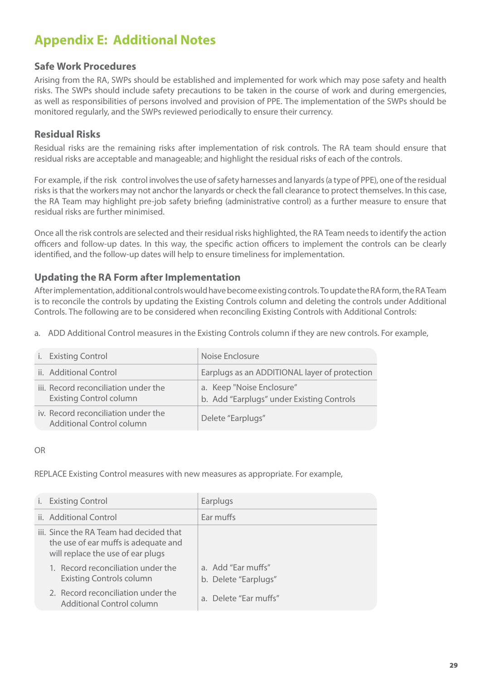## **Appendix E: Additional Notes**

### **Safe Work Procedures**

Arising from the RA, SWPs should be established and implemented for work which may pose safety and health risks. The SWPs should include safety precautions to be taken in the course of work and during emergencies, as well as responsibilities of persons involved and provision of PPE. The implementation of the SWPs should be monitored regularly, and the SWPs reviewed periodically to ensure their currency.

### **Residual Risks**

Residual risks are the remaining risks after implementation of risk controls. The RA team should ensure that residual risks are acceptable and manageable; and highlight the residual risks of each of the controls.

For example, if the risk control involves the use of safety harnesses and lanyards (a type of PPE), one of the residual risks is that the workers may not anchor the lanyards or check the fall clearance to protect themselves. In this case, the RA Team may highlight pre-job safety briefing (administrative control) as a further measure to ensure that residual risks are further minimised.

Once all the risk controls are selected and their residual risks highlighted, the RA Team needs to identify the action officers and follow-up dates. In this way, the specific action officers to implement the controls can be clearly identified, and the follow-up dates will help to ensure timeliness for implementation.

### **Updating the RA Form after Implementation**

After implementation, additional controls would have become existing controls. To update the RA form, the RA Team is to reconcile the controls by updating the Existing Controls column and deleting the controls under Additional Controls. The following are to be considered when reconciling Existing Controls with Additional Controls:

a. ADD Additional Control measures in the Existing Controls column if they are new controls. For example,

| i. Existing Control                                                    | Noise Enclosure                                                        |
|------------------------------------------------------------------------|------------------------------------------------------------------------|
| ii. Additional Control                                                 | Earplugs as an ADDITIONAL layer of protection                          |
| iii. Record reconciliation under the<br><b>Existing Control column</b> | a. Keep "Noise Enclosure"<br>b. Add "Earplugs" under Existing Controls |
| iv. Record reconciliation under the<br>Additional Control column       | Delete "Earplugs"                                                      |

#### OR

REPLACE Existing Control measures with new measures as appropriate. For example,

| i. Existing Control                                                                                                  | Earplugs                                   |  |
|----------------------------------------------------------------------------------------------------------------------|--------------------------------------------|--|
| ii. Additional Control                                                                                               | Ear muffs                                  |  |
| iii. Since the RA Team had decided that<br>the use of ear muffs is adequate and<br>will replace the use of ear plugs |                                            |  |
| 1. Record reconciliation under the<br><b>Existing Controls column</b>                                                | a. Add "Ear muffs"<br>b. Delete "Earplugs" |  |
| 2. Record reconciliation under the<br><b>Additional Control column</b>                                               | a. Delete "Ear muffs"                      |  |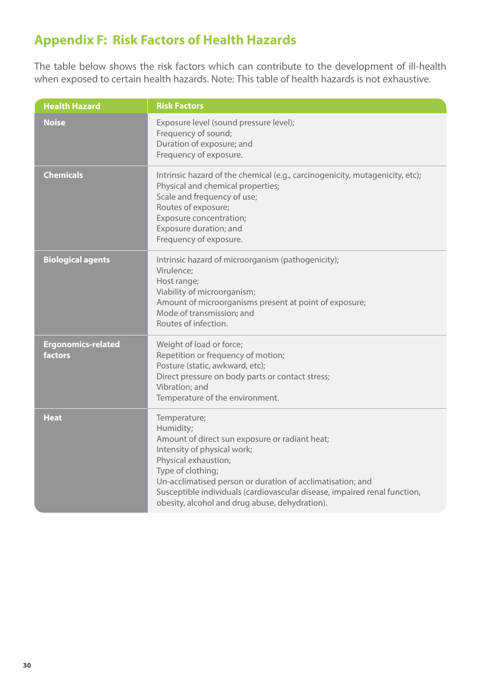## **Appendix F: Risk Factors of Health Hazards**

The table below shows the risk factors which can contribute to the development of ill-health when exposed to certain health hazards. Note: This table of health hazards is not exhaustive.

| <b>Health Hazard</b>                 | <b>Risk Factors</b>                                                                                                                                                                                                                                                                                                                                  |
|--------------------------------------|------------------------------------------------------------------------------------------------------------------------------------------------------------------------------------------------------------------------------------------------------------------------------------------------------------------------------------------------------|
| <b>Noise</b>                         | Exposure level (sound pressure level);<br>Frequency of sound;<br>Duration of exposure; and<br>Frequency of exposure.                                                                                                                                                                                                                                 |
| <b>Chemicals</b>                     | Intrinsic hazard of the chemical (e.g., carcinogenicity, mutagenicity, etc);<br>Physical and chemical properties;<br>Scale and frequency of use;<br>Routes of exposure;<br>Exposure concentration;<br>Exposure duration; and<br>Frequency of exposure.                                                                                               |
| <b>Biological agents</b>             | Intrinsic hazard of microorganism (pathogenicity);<br>Virulence;<br>Host range;<br>Viability of microorganism;<br>Amount of microorganisms present at point of exposure;<br>Mode of transmission; and<br>Routes of infection.                                                                                                                        |
| <b>Ergonomics-related</b><br>factors | Weight of load or force;<br>Repetition or frequency of motion;<br>Posture (static, awkward, etc);<br>Direct pressure on body parts or contact stress;<br>Vibration; and<br>Temperature of the environment.                                                                                                                                           |
| <b>Heat</b>                          | Temperature;<br>Humidity;<br>Amount of direct sun exposure or radiant heat;<br>Intensity of physical work;<br>Physical exhaustion;<br>Type of clothing;<br>Un-acclimatised person or duration of acclimatisation; and<br>Susceptible individuals (cardiovascular disease, impaired renal function,<br>obesity, alcohol and drug abuse, dehydration). |